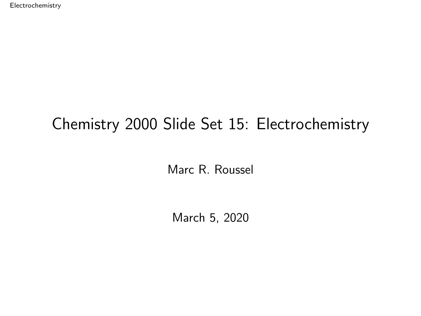<span id="page-0-0"></span>[Electrochemistry](#page-27-0)

### Chemistry 2000 Slide Set 15: Electrochemistry

Marc R. Roussel

March 5, 2020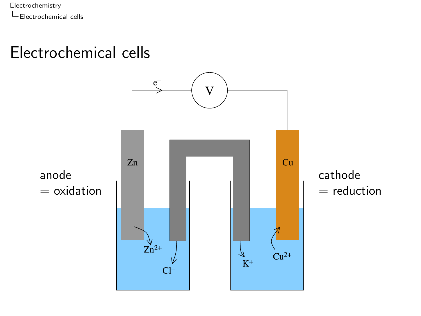<span id="page-1-0"></span>[Electrochemistry](#page-0-0)  $\mathsf{\mathsf{L}}$  [Electrochemical cells](#page-1-0)

#### Electrochemical cells

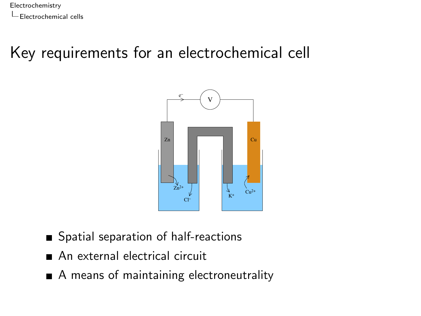[Electrochemistry](#page-0-0) [Electrochemical cells](#page-1-0)

# Key requirements for an electrochemical cell



- Spatial separation of half-reactions
- An external electrical circuit
- A means of maintaining electroneutrality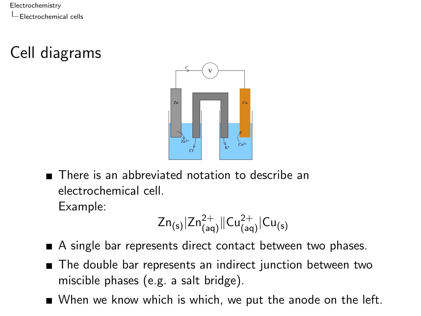[Electrochemistry](#page-0-0) [Electrochemical cells](#page-1-0)

Cell diagrams



There is an abbreviated notation to describe an electrochemical cell. Example:

$$
Zn_{(s)}|Zn^{2+}_{(aq)}\|Cu^{2+}_{(aq)}|Cu_{(s)}\\
$$

- A single bar represents direct contact between two phases.
- The double bar represents an indirect junction between two miscible phases (e.g. a salt bridge).
- When we know which is which, we put the anode on the left.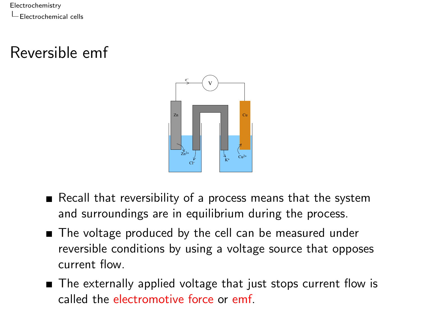[Electrochemistry](#page-0-0) [Electrochemical cells](#page-1-0)

# Reversible emf



- Recall that reversibility of a process means that the system and surroundings are in equilibrium during the process.
- The voltage produced by the cell can be measured under reversible conditions by using a voltage source that opposes current flow.
- The externally applied voltage that just stops current flow is called the electromotive force or emf.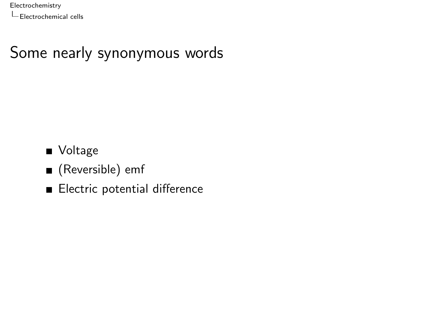# Some nearly synonymous words

**v**oltage

- (Reversible) emf
- Electric potential difference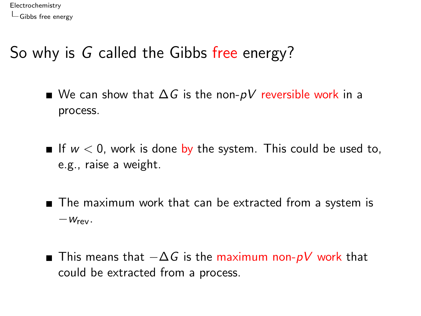### <span id="page-6-0"></span>So why is G called the Gibbs free energy?

- We can show that  $\Delta G$  is the non-pV reversible work in a process.
- If  $w < 0$ , work is done by the system. This could be used to, e.g., raise a weight.
- The maximum work that can be extracted from a system is  $-W<sub>rev</sub>$ .
- This means that  $-\Delta G$  is the maximum non-pV work that could be extracted from a process.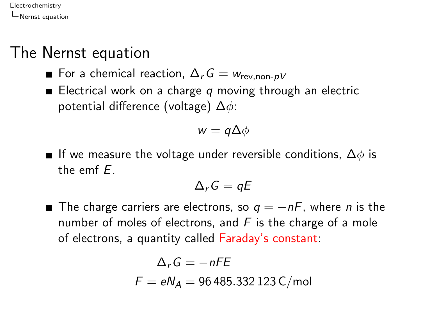#### <span id="page-7-0"></span>The Nernst equation

- For a chemical reaction,  $\Delta_r G = w_{\text{rev, non-IV}}$
- Electrical work on a charge  $q$  moving through an electric potential difference (voltage)  $\Delta \phi$ :

$$
w=q\Delta\phi
$$

**■** If we measure the voltage under reversible conditions,  $\Delta\phi$  is the emf E.

$$
\Delta_r G = qE
$$

**■** The charge carriers are electrons, so  $q = -nF$ , where *n* is the number of moles of electrons, and  $F$  is the charge of a mole of electrons, a quantity called Faraday's constant:

$$
\Delta_r G = -nFE
$$
  

$$
F = eN_A = 96485.332123 C/mol
$$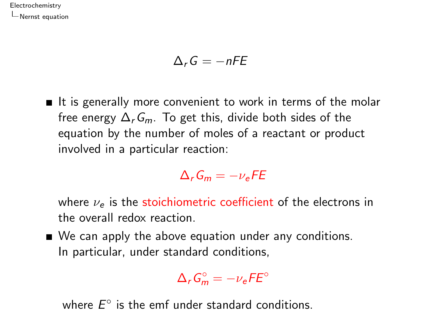$$
\Delta_r G = -nFE
$$

 $\blacksquare$  It is generally more convenient to work in terms of the molar free energy  $\Delta_r G_m$ . To get this, divide both sides of the equation by the number of moles of a reactant or product involved in a particular reaction:

$$
\Delta_r G_m = -\nu_e F E
$$

where  $\nu_e$  is the stoichiometric coefficient of the electrons in the overall redox reaction.

■ We can apply the above equation under any conditions. In particular, under standard conditions,

$$
\Delta_r G_m^\circ = -\nu_e F E^\circ
$$

where  $E^{\circ}$  is the emf under standard conditions.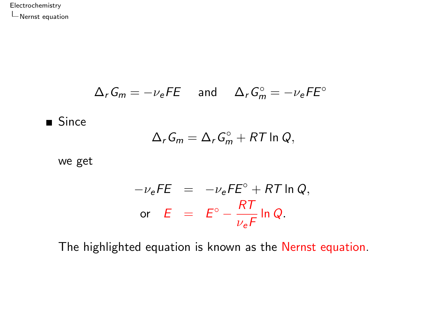$$
\Delta_r G_m = -\nu_e F E \quad \text{and} \quad \Delta_r G_m^\circ = -\nu_e F E^\circ
$$

Since

$$
\Delta_r G_m = \Delta_r G_m^\circ + RT \ln Q,
$$

we get

$$
-\nu_e FE = -\nu_e FE^\circ + RT \ln Q,
$$
  
or  $E = E^\circ - \frac{RT}{\nu_e F} \ln Q.$ 

The highlighted equation is known as the Nernst equation.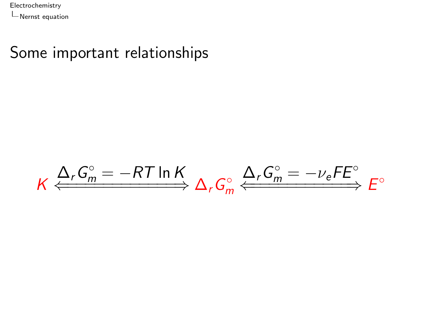#### Some important relationships

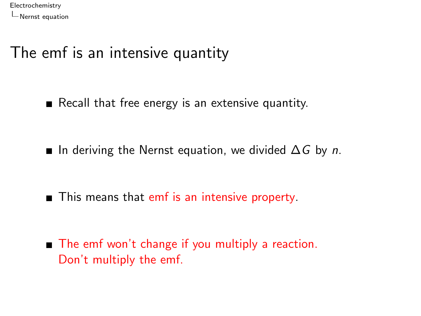#### The emf is an intensive quantity

Recall that free energy is an extensive quantity.

**■** In deriving the Nernst equation, we divided  $\Delta G$  by *n*.

■ This means that emf is an intensive property.

■ The emf won't change if you multiply a reaction. Don't multiply the emf.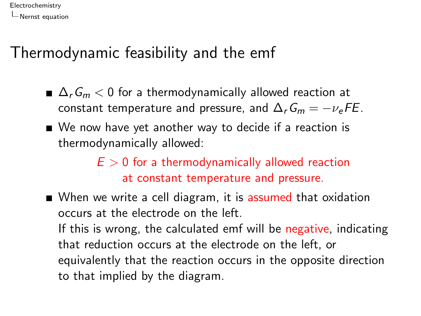#### Thermodynamic feasibility and the emf

- $\Delta_r G_m < 0$  for a thermodynamically allowed reaction at constant temperature and pressure, and  $\Delta_r G_m = -\nu_e F E$ .
- We now have yet another way to decide if a reaction is thermodynamically allowed:

 $E > 0$  for a thermodynamically allowed reaction at constant temperature and pressure.

When we write a cell diagram, it is assumed that oxidation occurs at the electrode on the left. If this is wrong, the calculated emf will be negative, indicating that reduction occurs at the electrode on the left, or equivalently that the reaction occurs in the opposite direction to that implied by the diagram.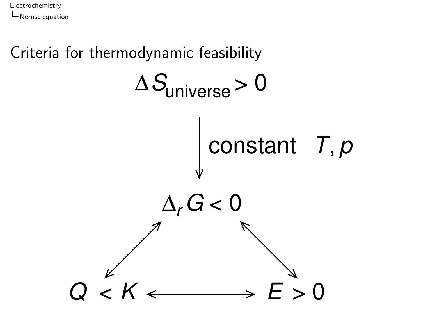

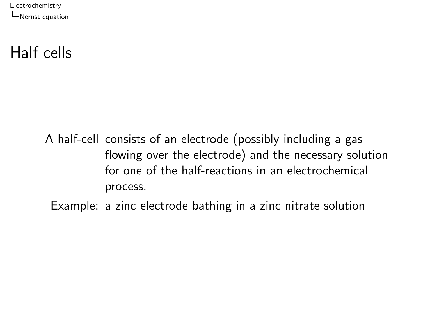#### Half cells

A half-cell consists of an electrode (possibly including a gas flowing over the electrode) and the necessary solution for one of the half-reactions in an electrochemical process.

Example: a zinc electrode bathing in a zinc nitrate solution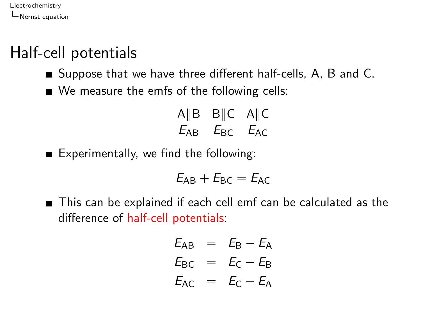## Half-cell potentials

- Suppose that we have three different half-cells, A, B and C.
- We measure the emfs of the following cells:

$$
A \| B \tB \| C \tA \| C
$$
  

$$
E_{AB} \tE_{BC} \tE_{AC}
$$

Experimentally, we find the following:

$$
\mathit{E}_{AB}+\mathit{E}_{BC}=\mathit{E}_{AC}
$$

■ This can be explained if each cell emf can be calculated as the difference of half-cell potentials:

$$
E_{AB} = E_B - E_A
$$
  
\n
$$
E_{BC} = E_C - E_B
$$
  
\n
$$
E_{AC} = E_C - E_A
$$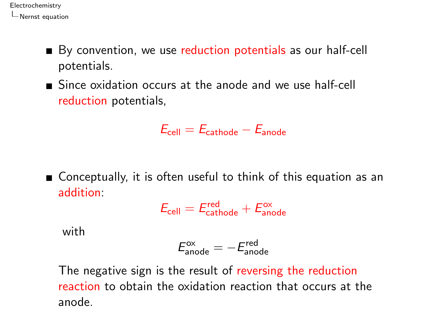- By convention, we use reduction potentials as our half-cell potentials.
- Since oxidation occurs at the anode and we use half-cell reduction potentials,

$$
E_{\text{cell}}=E_{\text{cathode}}-E_{\text{anode}}
$$

Conceptually, it is often useful to think of this equation as an addition:

$$
E_{\text{cell}} = E_{\text{cathode}}^{\text{red}} + E_{\text{anode}}^{\text{ox}}
$$

with

$$
E_{\rm anode}^{\rm ox}=-E_{\rm anode}^{\rm red}
$$

The negative sign is the result of reversing the reduction reaction to obtain the oxidation reaction that occurs at the anode.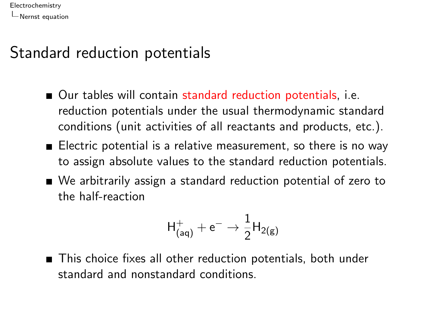#### Standard reduction potentials

- Our tables will contain standard reduction potentials, i.e. reduction potentials under the usual thermodynamic standard conditions (unit activities of all reactants and products, etc.).
- Electric potential is a relative measurement, so there is no way to assign absolute values to the standard reduction potentials.
- We arbitrarily assign a standard reduction potential of zero to the half-reaction

$$
\mathsf{H}^+_\mathsf{(aq)} + \mathsf{e}^- \rightarrow \frac{1}{2} \mathsf{H}_\mathsf{2(g)}
$$

■ This choice fixes all other reduction potentials, both under standard and nonstandard conditions.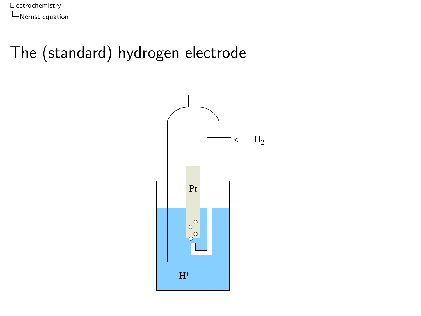### The (standard) hydrogen electrode

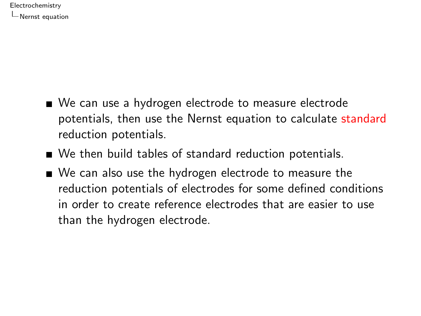- We can use a hydrogen electrode to measure electrode potentials, then use the Nernst equation to calculate standard reduction potentials.
- We then build tables of standard reduction potentials.
- We can also use the hydrogen electrode to measure the reduction potentials of electrodes for some defined conditions in order to create reference electrodes that are easier to use than the hydrogen electrode.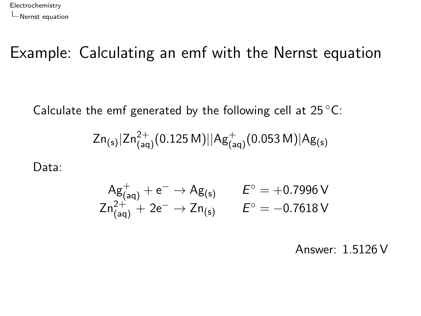#### Example: Calculating an emf with the Nernst equation

Calculate the emf generated by the following cell at  $25^{\circ}$ C:

$$
Zn_{(s)}|Zn_{(aq)}^{2+}(0.125\,M)||Ag_{(aq)}^+(0.053\,M)|Ag_{(s)}\,
$$

Data:

$$
\begin{array}{ccc} Ag_{(aq)}^+ + e^- \to Ag_{(s)} & \quad \ \ E^\circ = +0.7996\,V \\ Zn_{(aq)}^{2+} + 2e^- \to Zn_{(s)} & \quad \ \ E^\circ = -0.7618\,V \end{array}
$$

Answer: 1.5126 V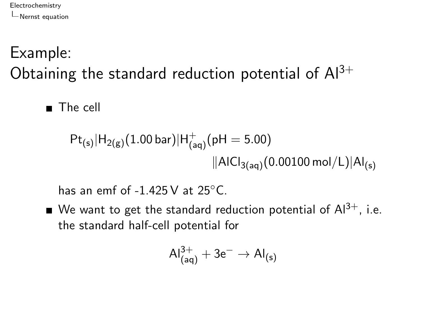# Example: Obtaining the standard reduction potential of  $Al^{3+}$

■ The cell

$$
Pt_{(s)}|H_{2(g)}(1.00 \,\text{bar})|H_{(aq)}^+(pH = 5.00)
$$
  
||A|Cl<sub>3(aq)</sub>(0.00100 mol/L)|Al<sub>(s)</sub>

has an emf of  $-1.425$  V at  $25^{\circ}$ C.

We want to get the standard reduction potential of  $Al^{3+}$ , i.e. the standard half-cell potential for

$$
\text{Al}^{3+}_{\text{(aq)}} + 3\text{e}^- \rightarrow \text{Al}_{\text{(s)}}
$$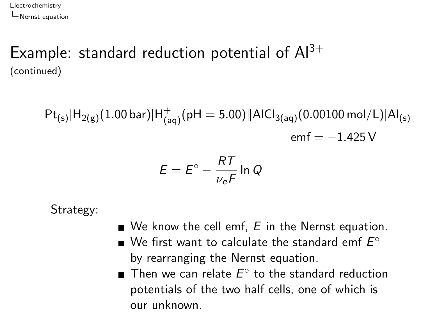#### Example: standard reduction potential of  $Al^{3+}$ (continued)

 $\mathsf{Pt}_{(\mathsf{s})}|\mathsf{H}_{2(\mathsf{g})}(1.00\,\mathsf{bar})|\mathsf{H}_{(\mathsf{aq})}^+(\mathsf{pH}=5.00)||\mathsf{AICl}_{3(\mathsf{aq})}(0.00100\,\mathsf{mol}/\mathsf{L})|\mathsf{Al}_{(\mathsf{s})}$  $emf = -1.425 V$ 

$$
E = E^{\circ} - \frac{RT}{\nu_e F} \ln Q
$$

Strategy:

- $\blacksquare$  We know the cell emf, E in the Nernst equation.
- We first want to calculate the standard emf  $E^\circ$ by rearranging the Nernst equation.
- Then we can relate  $E^{\circ}$  to the standard reduction potentials of the two half cells, one of which is our unknown.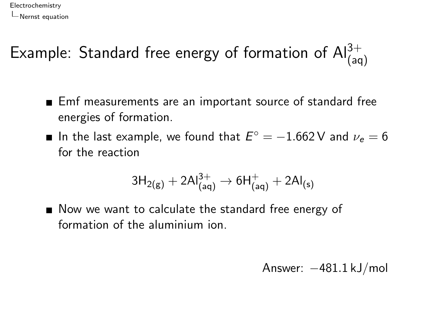# Example: Standard free energy of formation of  $\mathsf{Al}^{3+}_{(\mathsf{aq})}$

- Emf measurements are an important source of standard free energies of formation.
- In the last example, we found that  $E^\circ = -1.662\,\mathrm{V}$  and  $\nu_e = 6$ for the reaction

$$
3H_{2(g)} + 2Al^{3+}_{(aq)} \rightarrow 6H^+_{(aq)} + 2Al_{(s)}
$$

■ Now we want to calculate the standard free energy of formation of the aluminium ion.

Answer: −481.1 kJ/mol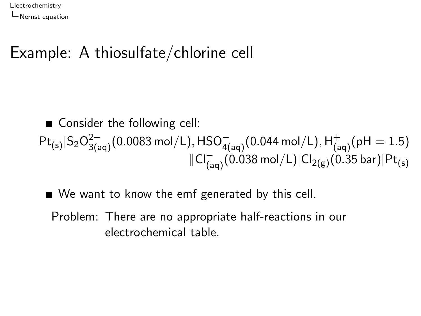#### Example: A thiosulfate/chlorine cell

■ Consider the following cell:  $\mathsf{Pt}_{(\mathsf{s})}|\mathsf{S}_2\mathsf{O}_{3(\mathsf{aq})}^{2-}(0.0083\,\mathsf{mol}/\mathsf{L}),\mathsf{HSO}_{4(\mathsf{aq})}^{-}(0.044\,\mathsf{mol}/\mathsf{L}),\mathsf{H}_{(\mathsf{aq})}^+(\mathsf{pH}=1.5)$  $\Vert C\Vert_{(aq)}^-(0.038$  mol $/L)\vert Cl_{2(g)}(0.35$  bar) $\vert Pt_{(s)}$ 

■ We want to know the emf generated by this cell.

Problem: There are no appropriate half-reactions in our electrochemical table.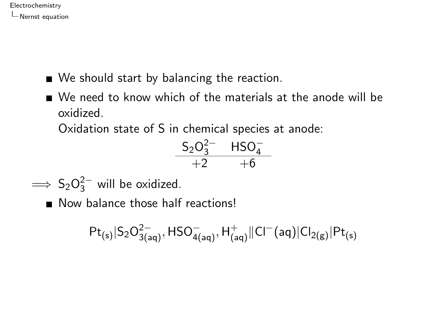- We should start by balancing the reaction.
- We need to know which of the materials at the anode will be oxidized.

Oxidation state of S in chemical species at anode:

$$
\begin{matrix} S_2O_3^{2-} & HSO_4^-\\ +2 & +6 \end{matrix}
$$

 $\implies$  S<sub>2</sub>O<sub>3</sub><sup>2−</sup> will be oxidized.

Now balance those half reactions!

$$
Pt_{(s)}|S_2O_{3(aq)}^{2-},HSO_{4(aq)}^{-},H_{(aq)}^{+}||Cl^{-}(aq)|Cl_{2(g)}|Pt_{(s)}^{-}\\
$$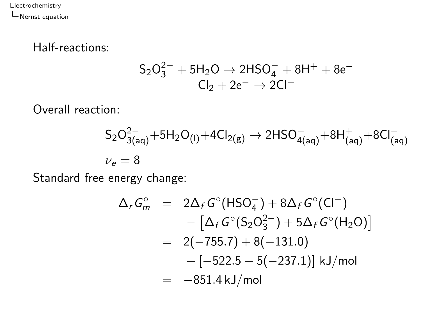#### Half-reactions:

$$
\begin{array}{c} S_2O_3^{2-} + 5H_2O \rightarrow 2HSO_4^- + 8H^+ + 8e^- \\ Cl_2 + 2e^- \rightarrow 2Cl^- \end{array}
$$

Overall reaction:

$$
\begin{aligned} S_2O^{2-}_{3(aq)} + 5H_2O_{(l)} + 4Cl_{2(g)} &\to 2HSO^{-}_{4(aq)} + 8H^{+}_{(aq)} + 8Cl^{-}_{(aq)} \\ \nu_e = 8 \end{aligned}
$$

Standard free energy change:

$$
\Delta_r G_m^{\circ} = 2\Delta_f G^{\circ}(\text{HSO}_4^-) + 8\Delta_f G^{\circ}(\text{Cl}^-) \n- [\Delta_f G^{\circ}(\text{S}_2\text{O}_3^{2-}) + 5\Delta_f G^{\circ}(\text{H}_2\text{O})] \n= 2(-755.7) + 8(-131.0) \n- [-522.5 + 5(-237.1)] \text{ kJ/mol} \n= -851.4 \text{ kJ/mol}
$$